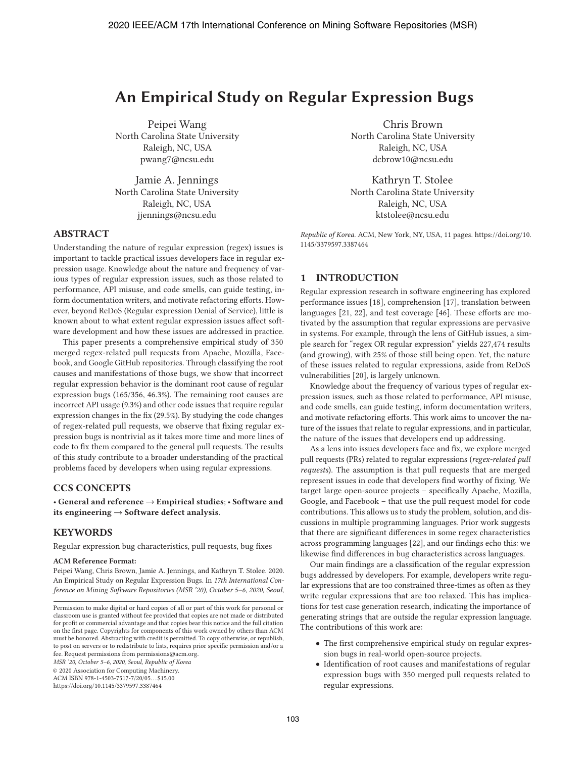# **An Empirical Study on Regular Expression Bugs**

Peipei Wang North Carolina State University Raleigh, NC, USA pwang7@ncsu.edu

Jamie A. Jennings North Carolina State University Raleigh, NC, USA jjennings@ncsu.edu

#### **ABSTRACT**

Understanding the nature of regular expression (regex) issues is important to tackle practical issues developers face in regular expression usage. Knowledge about the nature and frequency of various types of regular expression issues, such as those related to performance, API misuse, and code smells, can guide testing, inform documentation writers, and motivate refactoring efforts. However, beyond ReDoS (Regular expression Denial of Service), little is known about to what extent regular expression issues affect software development and how these issues are addressed in practice.

This paper presents a comprehensive empirical study of 350 merged regex-related pull requests from Apache, Mozilla, Facebook, and Google GitHub repositories. Through classifying the root causes and manifestations of those bugs, we show that incorrect regular expression behavior is the dominant root cause of regular expression bugs (165/356, 46.3%). The remaining root causes are incorrect API usage (9.3%) and other code issues that require regular expression changes in the fix (29.5%). By studying the code changes of regex-related pull requests, we observe that fixing regular expression bugs is nontrivial as it takes more time and more lines of code to fix them compared to the general pull requests. The results of this study contribute to a broader understanding of the practical problems faced by developers when using regular expressions.

# **CCS CONCEPTS**

• **General and reference** → **Empirical studies**; • **Software and its engineering** → **Software defect analysis**.

#### **KEYWORDS**

Regular expression bug characteristics, pull requests, bug fixes

#### **ACM Reference Format:**

Peipei Wang, Chris Brown, Jamie A. Jennings, and Kathryn T. Stolee. 2020. An Empirical Study on Regular Expression Bugs. In *17th International Conference on Mining Software Repositories (MSR '20), October 5–6, 2020, Seoul,*

*MSR '20, October 5–6, 2020, Seoul, Republic of Korea*

ACM ISBN 978-1-4503-7517-7/20/05. . . \$15.00

Chris Brown North Carolina State University Raleigh, NC, USA dcbrow10@ncsu.edu

Kathryn T. Stolee North Carolina State University Raleigh, NC, USA ktstolee@ncsu.edu

*Republic of Korea.* ACM, New York, NY, USA, 11 pages. https://doi.org/10. 1145/3379597.3387464

# **1 INTRODUCTION**

Regular expression research in software engineering has explored performance issues [18], comprehension [17], translation between languages [21, 22], and test coverage [46]. These efforts are motivated by the assumption that regular expressions are pervasive in systems. For example, through the lens of GitHub issues, a simple search for "regex OR regular expression" yields 227,474 results (and growing), with 25% of those still being open. Yet, the nature of these issues related to regular expressions, aside from ReDoS vulnerabilities [20], is largely unknown.

Knowledge about the frequency of various types of regular expression issues, such as those related to performance, API misuse, and code smells, can guide testing, inform documentation writers, and motivate refactoring efforts. This work aims to uncover the nature of the issues that relate to regular expressions, and in particular, the nature of the issues that developers end up addressing.

As a lens into issues developers face and fix, we explore merged pull requests (PRs) related to regular expressions (*regex-related pull requests*). The assumption is that pull requests that are merged represent issues in code that developers find worthy of fixing. We target large open-source projects – specifically Apache, Mozilla, Google, and Facebook – that use the pull request model for code contributions. This allows us to study the problem, solution, and discussions in multiple programming languages. Prior work suggests that there are significant differences in some regex characteristics across programming languages [22], and our findings echo this: we likewise find differences in bug characteristics across languages.

Our main findings are a classification of the regular expression bugs addressed by developers. For example, developers write regular expressions that are too constrained three-times as often as they write regular expressions that are too relaxed. This has implications for test case generation research, indicating the importance of generating strings that are outside the regular expression language. The contributions of this work are:

- The first comprehensive empirical study on regular expression bugs in real-world open-source projects.
- Identification of root causes and manifestations of regular expression bugs with 350 merged pull requests related to regular expressions.

Permission to make digital or hard copies of all or part of this work for personal or classroom use is granted without fee provided that copies are not made or distributed for profit or commercial advantage and that copies bear this notice and the full citation on the first page. Copyrights for components of this work owned by others than ACM must be honored. Abstracting with credit is permitted. To copy otherwise, or republish, to post on servers or to redistribute to lists, requires prior specific permission and/or a fee. Request permissions from permissions@acm.org.

<sup>© 2020</sup> Association for Computing Machinery.

https://doi.org/10.1145/3379597.3387464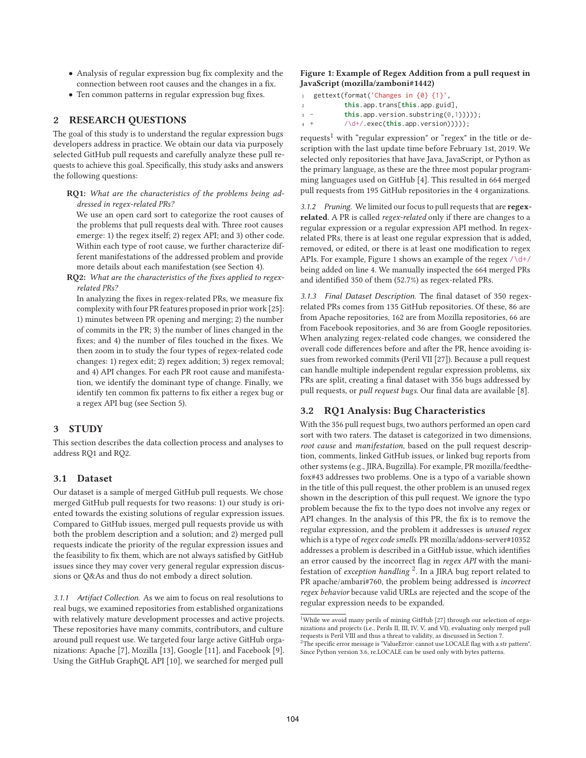- Analysis of regular expression bug fix complexity and the connection between root causes and the changes in a fix.
- Ten common patterns in regular expression bug fixes.

## **2 RESEARCH QUESTIONS**

The goal of this study is to understand the regular expression bugs developers address in practice. We obtain our data via purposely selected GitHub pull requests and carefully analyze these pull requests to achieve this goal. Specifically, this study asks and answers the following questions:

**RQ1:** *What are the characteristics of the problems being addressed in regex-related PRs?*

We use an open card sort to categorize the root causes of the problems that pull requests deal with. Three root causes emerge: 1) the regex itself; 2) regex API; and 3) other code. Within each type of root cause, we further characterize different manifestations of the addressed problem and provide more details about each manifestation (see Section 4).

**RQ2:** *What are the characteristics of the fixes applied to regexrelated PRs?*

In analyzing the fixes in regex-related PRs, we measure fix complexity with four PR features proposed in prior work [25]: 1) minutes between PR opening and merging; 2) the number of commits in the PR; 3) the number of lines changed in the fixes; and 4) the number of files touched in the fixes. We then zoom in to study the four types of regex-related code changes: 1) regex edit; 2) regex addition; 3) regex removal; and 4) API changes. For each PR root cause and manifestation, we identify the dominant type of change. Finally, we identify ten common fix patterns to fix either a regex bug or a regex API bug (see Section 5).

#### **3 STUDY**

This section describes the data collection process and analyses to address RQ1 and RQ2.

## **3.1 Dataset**

Our dataset is a sample of merged GitHub pull requests. We chose merged GitHub pull requests for two reasons: 1) our study is oriented towards the existing solutions of regular expression issues. Compared to GitHub issues, merged pull requests provide us with both the problem description and a solution; and 2) merged pull requests indicate the priority of the regular expression issues and the feasibility to fix them, which are not always satisfied by GitHub issues since they may cover very general regular expression discussions or Q&As and thus do not embody a direct solution.

*3.1.1 Artifact Collection.* As we aim to focus on real resolutions to real bugs, we examined repositories from established organizations with relatively mature development processes and active projects. These repositories have many commits, contributors, and culture around pull request use. We targeted four large active GitHub organizations: Apache [7], Mozilla [13], Google [11], and Facebook [9]. Using the GitHub GraphQL API [10], we searched for merged pull

#### **Figure 1: Example of Regex Addition from a pull request in JavaScript (mozilla/zamboni#1442)**

- <sup>1</sup> gettext(format('Changes in {0} {1}',
- <sup>2</sup> **this**.app.trans[**this**.app.guid],
- <sup>3</sup> **this**.app.version.substring(0,1)))));
- <sup>4</sup> + /\d+/.exec(**this**.app.version)))));

requests<sup>1</sup> with "regular expression" or "regex" in the title or description with the last update time before February 1st, 2019. We selected only repositories that have Java, JavaScript, or Python as the primary language, as these are the three most popular programming languages used on GitHub [4]. This resulted in 664 merged pull requests from 195 GitHub repositories in the 4 organizations.

*3.1.2 Pruning.* We limited our focus to pull requests that are **regexrelated**. A PR is called *regex-related* only if there are changes to a regular expression or a regular expression API method. In regexrelated PRs, there is at least one regular expression that is added, removed, or edited, or there is at least one modification to regex APIs. For example, Figure 1 shows an example of the regex  $\sqrt{d^2}$ being added on line 4. We manually inspected the 664 merged PRs and identified 350 of them (52.7%) as regex-related PRs.

*3.1.3 Final Dataset Description.* The final dataset of 350 regexrelated PRs comes from 135 GitHub repositories. Of these, 86 are from Apache repositories, 162 are from Mozilla repositories, 66 are from Facebook repositories, and 36 are from Google repositories. When analyzing regex-related code changes, we considered the overall code differences before and after the PR, hence avoiding issues from reworked commits (Peril VII [27]). Because a pull request can handle multiple independent regular expression problems, six PRs are split, creating a final dataset with 356 bugs addressed by pull requests, or *pull request bugs*. Our final data are available [8].

#### **3.2 RQ1 Analysis: Bug Characteristics**

With the 356 pull request bugs, two authors performed an open card sort with two raters. The dataset is categorized in two dimensions, *root cause* and *manifestation*, based on the pull request description, comments, linked GitHub issues, or linked bug reports from other systems (e.g., JIRA, Bugzilla). For example, PR mozilla/feedthefox#43 addresses two problems. One is a typo of a variable shown in the title of this pull request, the other problem is an unused regex shown in the description of this pull request. We ignore the typo problem because the fix to the typo does not involve any regex or API changes. In the analysis of this PR, the fix is to remove the regular expression, and the problem it addresses is *unused regex* which is a type of *regex code smells*. PR mozilla/addons-server#10352 addresses a problem is described in a GitHub issue, which identifies an error caused by the incorrect flag in *regex API* with the manifestation of *exception handling* 2. In a JIRA bug report related to PR apache/ambari#760, the problem being addressed is *incorrect regex behavior* because valid URLs are rejected and the scope of the regular expression needs to be expanded.

<sup>&</sup>lt;sup>1</sup>While we avoid many perils of mining GitHub [27] through our selection of organizations and projects (i.e., Perils II, III, IV, V, and VI), evaluating only merged pull requests is Peril VIII and thus a threat to validity, as discussed in Section 7.  $2$ The specific error message is "ValueError: cannot use LOCALE flag with a str pattern".

Since Python version 3.6, re.LOCALE can be used only with bytes patterns.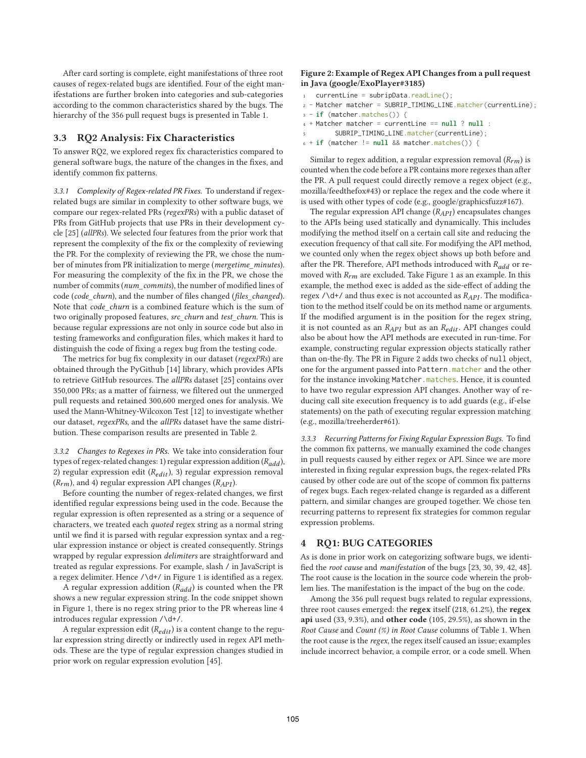After card sorting is complete, eight manifestations of three root causes of regex-related bugs are identified. Four of the eight manifestations are further broken into categories and sub-categories according to the common characteristics shared by the bugs. The hierarchy of the 356 pull request bugs is presented in Table 1.

#### **3.3 RQ2 Analysis: Fix Characteristics**

To answer RQ2, we explored regex fix characteristics compared to general software bugs, the nature of the changes in the fixes, and identify common fix patterns.

*3.3.1 Complexity of Regex-related PR Fixes.* To understand if regexrelated bugs are similar in complexity to other software bugs, we compare our regex-related PRs (*regexPRs*) with a public dataset of PRs from GitHub projects that use PRs in their development cycle [25] (*allPRs*). We selected four features from the prior work that represent the complexity of the fix or the complexity of reviewing the PR. For the complexity of reviewing the PR, we chose the number of minutes from PR initialization to merge (*mergetime\_minutes*). For measuring the complexity of the fix in the PR, we chose the number of commits (*num\_commits*), the number of modified lines of code (*code\_churn*), and the number of files changed (*files\_changed*). Note that *code\_churn* is a combined feature which is the sum of two originally proposed features, *src\_churn* and *test\_churn*. This is because regular expressions are not only in source code but also in testing frameworks and configuration files, which makes it hard to distinguish the code of fixing a regex bug from the testing code.

The metrics for bug fix complexity in our dataset (*regexPRs*) are obtained through the PyGithub [14] library, which provides APIs to retrieve GitHub resources. The *allPRs* dataset [25] contains over 350,000 PRs; as a matter of fairness, we filtered out the unmerged pull requests and retained 300,600 merged ones for analysis. We used the Mann-Whitney-Wilcoxon Test [12] to investigate whether our dataset, *regexPRs*, and the *allPRs* dataset have the same distribution. These comparison results are presented in Table 2.

*3.3.2 Changes to Regexes in PRs.* We take into consideration four types of regex-related changes: 1) regular expression addition  $(R_{add})$ , 2) regular expression edit ( $R_{edit}$ ), 3) regular expression removal  $(R_{rm})$ , and 4) regular expression API changes  $(R_{API})$ .

Before counting the number of regex-related changes, we first identified regular expressions being used in the code. Because the regular expression is often represented as a string or a sequence of characters, we treated each *quoted* regex string as a normal string until we find it is parsed with regular expression syntax and a regular expression instance or object is created consequently. Strings wrapped by regular expression *delimiters* are straightforward and treated as regular expressions. For example, slash / in JavaScript is a regex delimiter. Hence /\d+/ in Figure 1 is identified as a regex.

A regular expression addition  $(R_{add})$  is counted when the PR shows a new regular expression string. In the code snippet shown in Figure 1, there is no regex string prior to the PR whereas line 4 introduces regular expression /\d+/.

A regular expression edit ( $R_{edit}$ ) is a content change to the regular expression string directly or indirectly used in regex API methods. These are the type of regular expression changes studied in prior work on regular expression evolution [45].

#### **Figure 2: Example of Regex API Changes from a pull request in Java (google/ExoPlayer#3185)**

- $currentLine = subripData.readLine();$
- <sup>2</sup> Matcher matcher = SUBRIP\_TIMING\_LINE.matcher(currentLine);
- <sup>3</sup> **if** (matcher.matches()) {
- <sup>4</sup> + Matcher matcher = currentLine == **null** ? **null** :
- <sup>5</sup> SUBRIP\_TIMING\_LINE.matcher(currentLine);
- <sup>6</sup> + **if** (matcher != **null** && matcher.matches()) {

Similar to regex addition, a regular expression removal  $(R<sub>rm</sub>)$  is counted when the code before a PR contains more regexes than after the PR. A pull request could directly remove a regex object (e.g., mozilla/feedthefox#43) or replace the regex and the code where it is used with other types of code (e.g., google/graphicsfuzz#167).

The regular expression API change  $(R_{API})$  encapsulates changes to the APIs being used statically and dynamically. This includes modifying the method itself on a certain call site and reducing the execution frequency of that call site. For modifying the API method, we counted only when the regex object shows up both before and after the PR. Therefore, API methods introduced with  $R_{add}$  or removed with  $R_{rm}$  are excluded. Take Figure 1 as an example. In this example, the method exec is added as the side-effect of adding the regex  $/\dagger$  and thus exec is not accounted as  $R_{API}$ . The modification to the method itself could be on its method name or arguments. If the modified argument is in the position for the regex string, it is not counted as an  $R_{API}$  but as an  $R_{edit}$ . API changes could also be about how the API methods are executed in run-time. For example, constructing regular expression objects statically rather than on-the-fly. The PR in Figure 2 adds two checks of null object, one for the argument passed into Pattern.matcher and the other for the instance invoking Matcher. matches. Hence, it is counted to have two regular expression API changes. Another way of reducing call site execution frequency is to add guards (e.g., if-else statements) on the path of executing regular expression matching (e.g., mozilla/treeherder#61).

*3.3.3 Recurring Patterns for Fixing Regular Expression Bugs.* To find the common fix patterns, we manually examined the code changes in pull requests caused by either regex or API. Since we are more interested in fixing regular expression bugs, the regex-related PRs caused by other code are out of the scope of common fix patterns of regex bugs. Each regex-related change is regarded as a different pattern, and similar changes are grouped together. We chose ten recurring patterns to represent fix strategies for common regular expression problems.

#### **4 RQ1: BUG CATEGORIES**

As is done in prior work on categorizing software bugs, we identified the *root cause* and *manifestation* of the bugs [23, 30, 39, 42, 48]. The root cause is the location in the source code wherein the problem lies. The manifestation is the impact of the bug on the code.

Among the 356 pull request bugs related to regular expressions, three root causes emerged: the **regex** itself (218, 61.2%), the **regex api** used (33, 9.3%), and **other code** (105, 29.5%), as shown in the *Root Cause* and *Count (%) in Root Cause* columns of Table 1. When the root cause is the *regex*, the regex itself caused an issue; examples include incorrect behavior, a compile error, or a code smell. When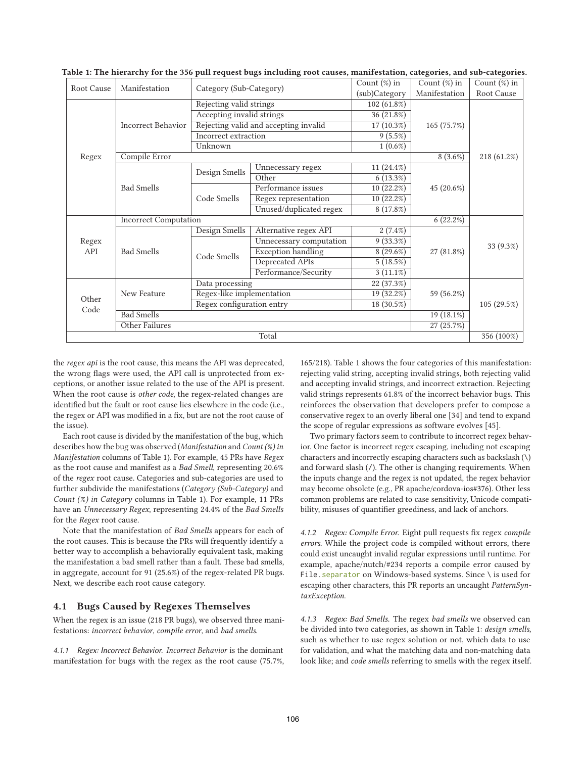| Root Cause    | Manifestation             | Category (Sub-Category)                |                                       | Count $(\%)$ in | Count $(\%)$ in | Count $(\%)$ in |  |
|---------------|---------------------------|----------------------------------------|---------------------------------------|-----------------|-----------------|-----------------|--|
|               |                           |                                        |                                       | (sub)Category   | Manifestation   | Root Cause      |  |
|               | <b>Incorrect Behavior</b> | Rejecting valid strings                |                                       | 102 (61.8%)     |                 |                 |  |
|               |                           | Accepting invalid strings              |                                       | 36(21.8%)       |                 |                 |  |
|               |                           |                                        | Rejecting valid and accepting invalid | 17 (10.3%)      | 165 (75.7%)     |                 |  |
|               |                           | Incorrect extraction                   |                                       | 9(5.5%)         |                 |                 |  |
|               |                           | Unknown                                |                                       | $1(0.6\%)$      |                 |                 |  |
| Regex         | Compile Error             | $8(3.6\%)$                             | 218 (61.2%)                           |                 |                 |                 |  |
|               | <b>Bad Smells</b>         | Design Smells                          | 11 (24.4%)<br>Unnecessary regex       |                 |                 |                 |  |
|               |                           |                                        | Other                                 | $6(13.3\%)$     |                 |                 |  |
|               |                           | Code Smells                            | Performance issues                    | 10(22.2%)       | 45 (20.6%)      |                 |  |
|               |                           |                                        | Regex representation                  | 10(22.2%)       |                 |                 |  |
|               |                           |                                        | Unused/duplicated regex               | 8 (17.8%)       |                 |                 |  |
|               |                           | <b>Incorrect Computation</b>           |                                       |                 |                 |                 |  |
|               | <b>Bad Smells</b>         | Design Smells                          | Alternative regex API                 | $2(7.4\%)$      |                 |                 |  |
| Regex<br>API  |                           |                                        | Unnecessary computation               | 9(33.3%)        |                 |                 |  |
|               |                           | Code Smells                            | <b>Exception handling</b>             | $8(29.6\%)$     | 27 (81.8%)      | 33 (9.3%)       |  |
|               |                           |                                        |                                       | Deprecated APIs | 5(18.5%)        |                 |  |
|               |                           |                                        | Performance/Security                  | $3(11.1\%)$     |                 |                 |  |
| Other<br>Code | New Feature               | Data processing                        |                                       | 22 (37.3%)      |                 |                 |  |
|               |                           | Regex-like implementation<br>19(32.2%) |                                       |                 | 59 (56.2%)      |                 |  |
|               |                           | Regex configuration entry              |                                       |                 | 105 (29.5%)     |                 |  |
|               | <b>Bad Smells</b>         | $19(18.1\%)$                           |                                       |                 |                 |                 |  |
|               | Other Failures            | 27(25.7%)                              |                                       |                 |                 |                 |  |
| Total         |                           |                                        |                                       |                 |                 |                 |  |

**Table 1: The hierarchy for the 356 pull request bugs including root causes, manifestation, categories, and sub-categories.**

the *regex api* is the root cause, this means the API was deprecated, the wrong flags were used, the API call is unprotected from exceptions, or another issue related to the use of the API is present. When the root cause is *other code*, the regex-related changes are identified but the fault or root cause lies elsewhere in the code (i.e., the regex or API was modified in a fix, but are not the root cause of the issue).

Each root cause is divided by the manifestation of the bug, which describes how the bug was observed (*Manifestation* and *Count (%) in Manifestation* columns of Table 1). For example, 45 PRs have *Regex* as the root cause and manifest as a *Bad Smell*, representing 20.6% of the *regex* root cause. Categories and sub-categories are used to further subdivide the manifestations (*Category (Sub-Category)* and *Count (%) in Category* columns in Table 1). For example, 11 PRs have an *Unnecessary Regex*, representing 24.4% of the *Bad Smells* for the *Regex* root cause.

Note that the manifestation of *Bad Smells* appears for each of the root causes. This is because the PRs will frequently identify a better way to accomplish a behaviorally equivalent task, making the manifestation a bad smell rather than a fault. These bad smells, in aggregate, account for 91 (25.6%) of the regex-related PR bugs. Next, we describe each root cause category.

#### **4.1 Bugs Caused by Regexes Themselves**

When the regex is an issue (218 PR bugs), we observed three manifestations: *incorrect behavior*, *compile error*, and *bad smells*.

*4.1.1 Regex: Incorrect Behavior. Incorrect Behavior* is the dominant manifestation for bugs with the regex as the root cause (75.7%, 165/218). Table 1 shows the four categories of this manifestation: rejecting valid string, accepting invalid strings, both rejecting valid and accepting invalid strings, and incorrect extraction. Rejecting valid strings represents 61.8% of the incorrect behavior bugs. This reinforces the observation that developers prefer to compose a conservative regex to an overly liberal one [34] and tend to expand the scope of regular expressions as software evolves [45].

Two primary factors seem to contribute to incorrect regex behavior. One factor is incorrect regex escaping, including not escaping characters and incorrectly escaping characters such as backslash (\) and forward slash (/). The other is changing requirements. When the inputs change and the regex is not updated, the regex behavior may become obsolete (e.g., PR apache/cordova-ios#376). Other less common problems are related to case sensitivity, Unicode compatibility, misuses of quantifier greediness, and lack of anchors.

*4.1.2 Regex: Compile Error.* Eight pull requests fix regex *compile errors*. While the project code is compiled without errors, there could exist uncaught invalid regular expressions until runtime. For example, apache/nutch/#234 reports a compile error caused by File. separator on Windows-based systems. Since \ is used for escaping other characters, this PR reports an uncaught *PatternSyntaxException*.

*4.1.3 Regex: Bad Smells.* The regex *bad smells* we observed can be divided into two categories, as shown in Table 1: *design smells*, such as whether to use regex solution or not, which data to use for validation, and what the matching data and non-matching data look like; and *code smells* referring to smells with the regex itself.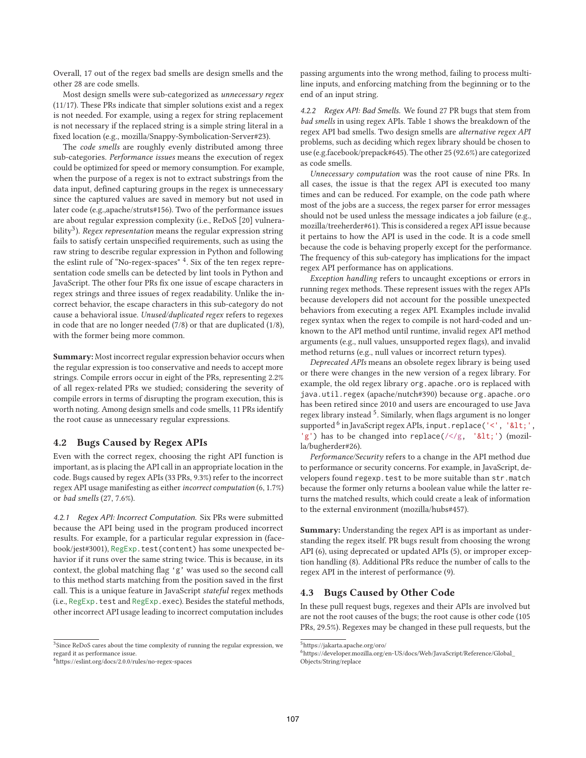Overall, 17 out of the regex bad smells are design smells and the other 28 are code smells.

Most design smells were sub-categorized as *unnecessary regex* (11/17). These PRs indicate that simpler solutions exist and a regex is not needed. For example, using a regex for string replacement is not necessary if the replaced string is a simple string literal in a fixed location (e.g., mozilla/Snappy-Symbolication-Server#23).

The *code smells* are roughly evenly distributed among three sub-categories. *Performance issues* means the execution of regex could be optimized for speed or memory consumption. For example, when the purpose of a regex is not to extract substrings from the data input, defined capturing groups in the regex is unnecessary since the captured values are saved in memory but not used in later code (e.g.,apache/struts#156). Two of the performance issues are about regular expression complexity (i.e., ReDoS [20] vulnerability<sup>3</sup>). *Regex representation* means the regular expression string fails to satisfy certain unspecified requirements, such as using the raw string to describe regular expression in Python and following the eslint rule of "No-regex-spaces" <sup>4</sup>. Six of the ten regex representation code smells can be detected by lint tools in Python and JavaScript. The other four PRs fix one issue of escape characters in regex strings and three issues of regex readability. Unlike the incorrect behavior, the escape characters in this sub-category do not cause a behavioral issue. *Unused/duplicated regex* refers to regexes in code that are no longer needed (7/8) or that are duplicated (1/8), with the former being more common.

**Summary:** Most incorrect regular expression behavior occurs when the regular expression is too conservative and needs to accept more strings. Compile errors occur in eight of the PRs, representing 2.2% of all regex-related PRs we studied; considering the severity of compile errors in terms of disrupting the program execution, this is worth noting. Among design smells and code smells, 11 PRs identify the root cause as unnecessary regular expressions.

# **4.2 Bugs Caused by Regex APIs**

Even with the correct regex, choosing the right API function is important, as is placing the API call in an appropriate location in the code. Bugs caused by regex APIs (33 PRs, 9.3%) refer to the incorrect regex API usage manifesting as either *incorrect computation* (6, 1.7%) or *bad smells* (27, 7.6%).

*4.2.1 Regex API: Incorrect Computation.* Six PRs were submitted because the API being used in the program produced incorrect results. For example, for a particular regular expression in (facebook/jest#3001), RegExp.test(content) has some unexpected behavior if it runs over the same string twice. This is because, in its context, the global matching flag 'g' was used so the second call to this method starts matching from the position saved in the first call. This is a unique feature in JavaScript *stateful* regex methods (i.e., RegExp.test and RegExp.exec). Besides the stateful methods, other incorrect API usage leading to incorrect computation includes

passing arguments into the wrong method, failing to process multiline inputs, and enforcing matching from the beginning or to the end of an input string.

*4.2.2 Regex API: Bad Smells.* We found 27 PR bugs that stem from *bad smells* in using regex APIs. Table 1 shows the breakdown of the regex API bad smells. Two design smells are *alternative regex API* problems, such as deciding which regex library should be chosen to use (e.g.facebook/prepack#645). The other 25 (92.6%) are categorized as code smells.

*Unnecessary computation* was the root cause of nine PRs. In all cases, the issue is that the regex API is executed too many times and can be reduced. For example, on the code path where most of the jobs are a success, the regex parser for error messages should not be used unless the message indicates a job failure (e.g., mozilla/treeherder#61). This is considered a regex API issue because it pertains to how the API is used in the code. It is a code smell because the code is behaving properly except for the performance. The frequency of this sub-category has implications for the impact regex API performance has on applications.

*Exception handling* refers to uncaught exceptions or errors in running regex methods. These represent issues with the regex APIs because developers did not account for the possible unexpected behaviors from executing a regex API. Examples include invalid regex syntax when the regex to compile is not hard-coded and unknown to the API method until runtime, invalid regex API method arguments (e.g., null values, unsupported regex flags), and invalid method returns (e.g., null values or incorrect return types).

*Deprecated APIs* means an obsolete regex library is being used or there were changes in the new version of a regex library. For example, the old regex library org.apache.oro is replaced with java.util.regex (apache/nutch#390) because org.apache.oro has been retired since 2010 and users are encouraged to use Java regex library instead <sup>5</sup>. Similarly, when flags argument is no longer supported <sup>6</sup> in JavaScript regex APIs, input.replace('<', '&lt;', 'g') has to be changed into replace( $\frac{\sqrt{g}}{g}$ , '<') (mozilla/bugherder#26).

*Performance/Security* refers to a change in the API method due to performance or security concerns. For example, in JavaScript, developers found regexp.test to be more suitable than str.match because the former only returns a boolean value while the latter returns the matched results, which could create a leak of information to the external environment (mozilla/hubs#457).

**Summary:** Understanding the regex API is as important as understanding the regex itself. PR bugs result from choosing the wrong API (6), using deprecated or updated APIs (5), or improper exception handling (8). Additional PRs reduce the number of calls to the regex API in the interest of performance (9).

#### **4.3 Bugs Caused by Other Code**

In these pull request bugs, regexes and their APIs are involved but are not the root causes of the bugs; the root cause is other code (105 PRs, 29.5%). Regexes may be changed in these pull requests, but the

<sup>&</sup>lt;sup>3</sup>Since ReDoS cares about the time complexity of running the regular expression, we regard it as performance issue.

<sup>4</sup>https://eslint.org/docs/2.0.0/rules/no-regex-spaces

<sup>5</sup>https://jakarta.apache.org/oro/

<sup>6</sup>https://developer.mozilla.org/en-US/docs/Web/JavaScript/Reference/Global\_ Objects/String/replace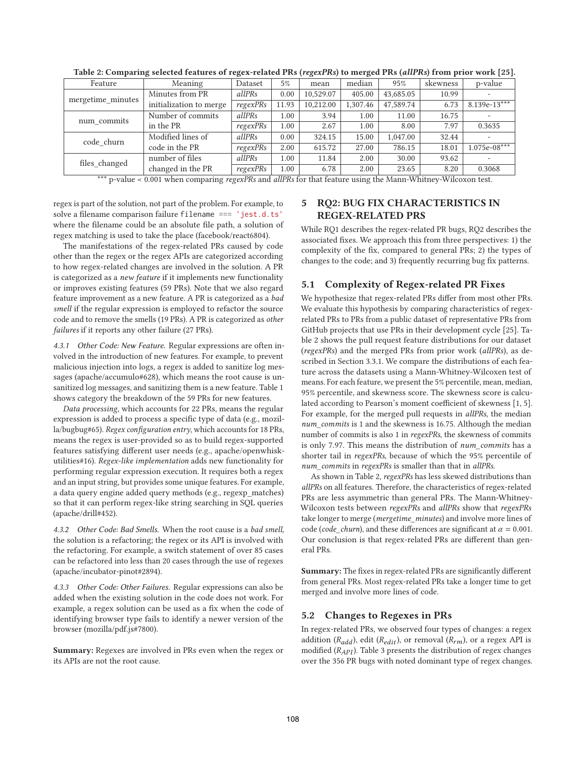|                   | $\overline{\phantom{a}}$ |          |       | $\overline{\phantom{a}}$ |          |           |          |                |
|-------------------|--------------------------|----------|-------|--------------------------|----------|-----------|----------|----------------|
| Feature           | Meaning                  | Dataset  | 5%    | mean                     | median   | 95%       | skewness | p-value        |
| mergetime_minutes | Minutes from PR          | allPRs   | 0.00  | 10.529.07                | 405.00   | 43,685.05 | 10.99    |                |
|                   | initialization to merge  | regexPRs | 11.93 | 10.212.00                | 1.307.46 | 47,589.74 | 6.73     | $8.139e-13***$ |
| num_commits       | Number of commits        | allPRs   | 1.00  | 3.94                     | 1.00     | 11.00     | 16.75    |                |
|                   | in the PR                | regexPRs | 1.00  | 2.67                     | 1.00     | 8.00      | 7.97     | 0.3635         |
| code churn        | Modified lines of        | allPRs   | 0.00  | 324.15                   | 15.00    | 1,047.00  | 32.44    |                |
|                   | code in the PR           | regexPRs | 2.00  | 615.72                   | 27.00    | 786.15    | 18.01    | $1.075e-08***$ |
| files_changed     | number of files          | allPRs   | 1.00  | 11.84                    | 2.00     | 30.00     | 93.62    |                |
|                   | changed in the PR        | regexPRs | 1.00  | 6.78                     | 2.00     | 23.65     | 8.20     | 0.3068         |

**Table 2: Comparing selected features of regex-related PRs (***regexPRs***) to merged PRs (***allPRs***) from prior work [25].**

\*\*\* p-value < 0.001 when comparing *regexPRs* and *allPRs* for that feature using the Mann-Whitney-Wilcoxon test.

regex is part of the solution, not part of the problem. For example, to solve a filename comparison failure filename === 'jest.d.ts' where the filename could be an absolute file path, a solution of regex matching is used to take the place (facebook/react6804).

The manifestations of the regex-related PRs caused by code other than the regex or the regex APIs are categorized according to how regex-related changes are involved in the solution. A PR is categorized as a *new feature* if it implements new functionality or improves existing features (59 PRs). Note that we also regard feature improvement as a new feature. A PR is categorized as a *bad smell* if the regular expression is employed to refactor the source code and to remove the smells (19 PRs). A PR is categorized as *other failures* if it reports any other failure (27 PRs).

*4.3.1 Other Code: New Feature.* Regular expressions are often involved in the introduction of new features. For example, to prevent malicious injection into logs, a regex is added to sanitize log messages (apache/accumulo#628), which means the root cause is unsanitized log messages, and sanitizing them is a new feature. Table 1 shows category the breakdown of the 59 PRs for new features.

*Data processing*, which accounts for 22 PRs, means the regular expression is added to process a specific type of data (e.g., mozilla/bugbug#65). *Regex configuration entry*, which accounts for 18 PRs, means the regex is user-provided so as to build regex-supported features satisfying different user needs (e.g., apache/openwhiskutilities#16). *Regex-like implementation* adds new functionality for performing regular expression execution. It requires both a regex and an input string, but provides some unique features. For example, a data query engine added query methods (e.g., regexp\_matches) so that it can perform regex-like string searching in SQL queries (apache/drill#452).

*4.3.2 Other Code: Bad Smells.* When the root cause is a *bad smell*, the solution is a refactoring; the regex or its API is involved with the refactoring. For example, a switch statement of over 85 cases can be refactored into less than 20 cases through the use of regexes (apache/incubator-pinot#2894).

*4.3.3 Other Code: Other Failures.* Regular expressions can also be added when the existing solution in the code does not work. For example, a regex solution can be used as a fix when the code of identifying browser type fails to identify a newer version of the browser (mozilla/pdf.js#7800).

**Summary:** Regexes are involved in PRs even when the regex or its APIs are not the root cause.

# **5 RQ2: BUG FIX CHARACTERISTICS IN REGEX-RELATED PRS**

While RQ1 describes the regex-related PR bugs, RQ2 describes the associated fixes. We approach this from three perspectives: 1) the complexity of the fix, compared to general PRs; 2) the types of changes to the code; and 3) frequently recurring bug fix patterns.

## **5.1 Complexity of Regex-related PR Fixes**

We hypothesize that regex-related PRs differ from most other PRs. We evaluate this hypothesis by comparing characteristics of regexrelated PRs to PRs from a public dataset of representative PRs from GitHub projects that use PRs in their development cycle [25]. Table 2 shows the pull request feature distributions for our dataset (*regexPRs*) and the merged PRs from prior work (*allPRs*), as described in Section 3.3.1. We compare the distributions of each feature across the datasets using a Mann-Whitney-Wilcoxen test of means. For each feature, we present the 5% percentile, mean, median, 95% percentile, and skewness score. The skewness score is calculated according to Pearson's moment coefficient of skewness [1, 5]. For example, for the merged pull requests in *allPRs*, the median *num\_commits* is 1 and the skewness is 16.75. Although the median number of commits is also 1 in *regexPRs*, the skewness of commits is only 7.97. This means the distribution of *num\_commits* has a shorter tail in *regexPRs*, because of which the 95% percentile of *num\_commits* in *regexPRs* is smaller than that in *allPRs*.

As shown in Table 2, *regexPRs* has less skewed distributions than *allPRs* on all features. Therefore, the characteristics of regex-related PRs are less asymmetric than general PRs. The Mann-Whitney-Wilcoxon tests between *regexPRs* and *allPRs* show that *regexPRs* take longer to merge (*mergetime\_minutes*) and involve more lines of code (*code\_churn*), and these differences are significant at  $\alpha = 0.001$ . Our conclusion is that regex-related PRs are different than general PRs.

**Summary:** The fixes in regex-related PRs are significantly different from general PRs. Most regex-related PRs take a longer time to get merged and involve more lines of code.

# **5.2 Changes to Regexes in PRs**

In regex-related PRs, we observed four types of changes: a regex addition ( $R_{add}$ ), edit ( $R_{edit}$ ), or removal ( $R_{rm}$ ), or a regex API is modified  $(R_{API})$ . Table 3 presents the distribution of regex changes over the 356 PR bugs with noted dominant type of regex changes.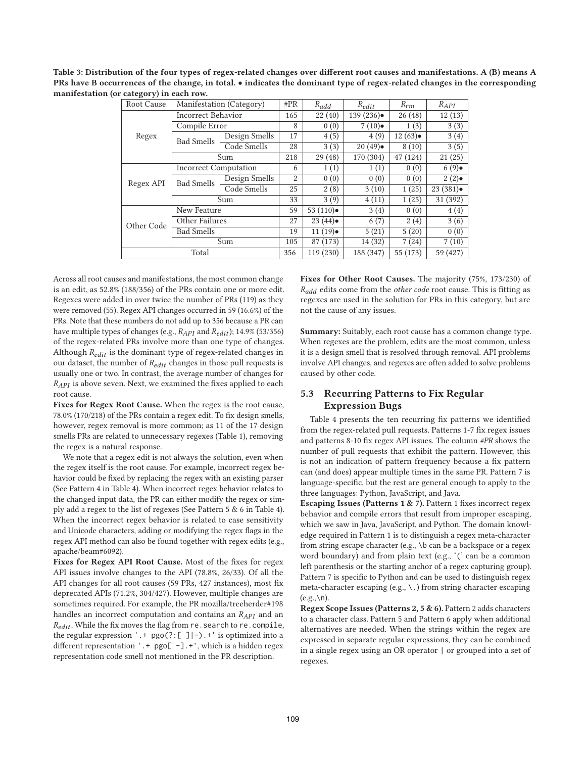**Table 3: Distribution of the four types of regex-related changes over different root causes and manifestations. A (B) means A PRs have B occurrences of the change, in total.** • **indicates the dominant type of regex-related changes in the corresponding manifestation (or category) in each row.**

| Root Cause | Manifestation (Category)     |               |     | $R_{add}$            | $R_{edit}$ | $R_{rm}$ | $R_{API}$ |
|------------|------------------------------|---------------|-----|----------------------|------------|----------|-----------|
| Regex      | <b>Incorrect Behavior</b>    |               | 165 | 22(40)               | 139(236)   | 26(48)   | 12(13)    |
|            | Compile Error                |               | 8   | 0(0)                 | 7(10)      | 1(3)     | 3(3)      |
|            | <b>Bad Smells</b>            | Design Smells | 17  | 4(5)                 | 4(9)       | 12(63)   | 3(4)      |
|            |                              | Code Smells   | 28  | 3(3)                 | 20(49)     | 8(10)    | 3(5)      |
|            | Sum                          |               | 218 | 29(48)               | 170 (304)  | 47 (124) | 21(25)    |
|            | <b>Incorrect Computation</b> |               | 6   | 1(1)                 | 1(1)       | 0(0)     | 6(9)      |
| Regex API  | <b>Bad Smells</b>            | Design Smells | 2   | 0(0)                 | 0(0)       | 0(0)     | 2(2)      |
|            |                              | Code Smells   | 25  | 2(8)                 | 3(10)      | 1(25)    | 23(381)   |
|            | Sum                          |               | 33  | 3(9)                 | 4(11)      | 1(25)    | 31 (392)  |
|            | New Feature                  |               | 59  | 53 $(110)$ $\bullet$ | 3(4)       | 0(0)     | 4(4)      |
| Other Code | Other Failures               |               | 27  | 23(44)               | 6(7)       | 2(4)     | 3(6)      |
|            | <b>Bad Smells</b>            |               | 19  | 11(19)               | 5(21)      | 5(20)    | 0(0)      |
|            | Sum                          |               | 105 | 87 (173)             | 14 (32)    | 7(24)    | 7(10)     |
| Total      |                              |               | 356 | 119 (230)            | 188 (347)  | 55 (173) | 59 (427)  |

Across all root causes and manifestations, the most common change is an edit, as 52.8% (188/356) of the PRs contain one or more edit. Regexes were added in over twice the number of PRs (119) as they were removed (55). Regex API changes occurred in 59 (16.6%) of the PRs. Note that these numbers do not add up to 356 because a PR can have multiple types of changes (e.g.,  $R_{API}$  and  $R_{edit}$ ); 14.9% (53/356) of the regex-related PRs involve more than one type of changes. Although  $R_{edit}$  is the dominant type of regex-related changes in our dataset, the number of  $R_{edit}$  changes in those pull requests is usually one or two. In contrast, the average number of changes for  $R_{API}$  is above seven. Next, we examined the fixes applied to each root cause.

**Fixes for Regex Root Cause.** When the regex is the root cause, 78.0% (170/218) of the PRs contain a regex edit. To fix design smells, however, regex removal is more common; as 11 of the 17 design smells PRs are related to unnecessary regexes (Table 1), removing the regex is a natural response.

We note that a regex edit is not always the solution, even when the regex itself is the root cause. For example, incorrect regex behavior could be fixed by replacing the regex with an existing parser (See Pattern 4 in Table 4). When incorrect regex behavior relates to the changed input data, the PR can either modify the regex or simply add a regex to the list of regexes (See Pattern 5 & 6 in Table 4). When the incorrect regex behavior is related to case sensitivity and Unicode characters, adding or modifying the regex flags in the regex API method can also be found together with regex edits (e.g., apache/beam#6092).

**Fixes for Regex API Root Cause.** Most of the fixes for regex API issues involve changes to the API (78.8%, 26/33). Of all the API changes for all root causes (59 PRs, 427 instances), most fix deprecated APIs (71.2%, 304/427). However, multiple changes are sometimes required. For example, the PR mozilla/treeherder#198 handles an incorrect computation and contains an  $R_{API}$  and an  $R_{edit}$ . While the fix moves the flag from re. search to re. compile, the regular expression '.+ pgo(?:[ ]|-).+' is optimized into a different representation '. + pgo[ -]. + ', which is a hidden regex representation code smell not mentioned in the PR description.

**Fixes for Other Root Causes.** The majority (75%, 173/230) of R<sub>add</sub> edits come from the *other code* root cause. This is fitting as regexes are used in the solution for PRs in this category, but are not the cause of any issues.

**Summary:** Suitably, each root cause has a common change type. When regexes are the problem, edits are the most common, unless it is a design smell that is resolved through removal. API problems involve API changes, and regexes are often added to solve problems caused by other code.

# **5.3 Recurring Patterns to Fix Regular Expression Bugs**

Table 4 presents the ten recurring fix patterns we identified from the regex-related pull requests. Patterns 1-7 fix regex issues and patterns 8-10 fix regex API issues. The column *#PR* shows the number of pull requests that exhibit the pattern. However, this is not an indication of pattern frequency because a fix pattern can (and does) appear multiple times in the same PR. Pattern 7 is language-specific, but the rest are general enough to apply to the three languages: Python, JavaScript, and Java.

**Escaping Issues (Patterns 1 & 7).** Pattern 1 fixes incorrect regex behavior and compile errors that result from improper escaping, which we saw in Java, JavaScript, and Python. The domain knowledge required in Pattern 1 is to distinguish a regex meta-character from string escape character (e.g., \b can be a backspace or a regex word boundary) and from plain text (e.g., '(' can be a common left parenthesis or the starting anchor of a regex capturing group). Pattern 7 is specific to Python and can be used to distinguish regex meta-character escaping (e.g., \.) from string character escaping  $(e.g., \n\ln).$ 

**Regex Scope Issues (Patterns 2, 5 & 6).** Pattern 2 adds characters to a character class. Pattern 5 and Pattern 6 apply when additional alternatives are needed. When the strings within the regex are expressed in separate regular expressions, they can be combined in a single regex using an OR operator | or grouped into a set of regexes.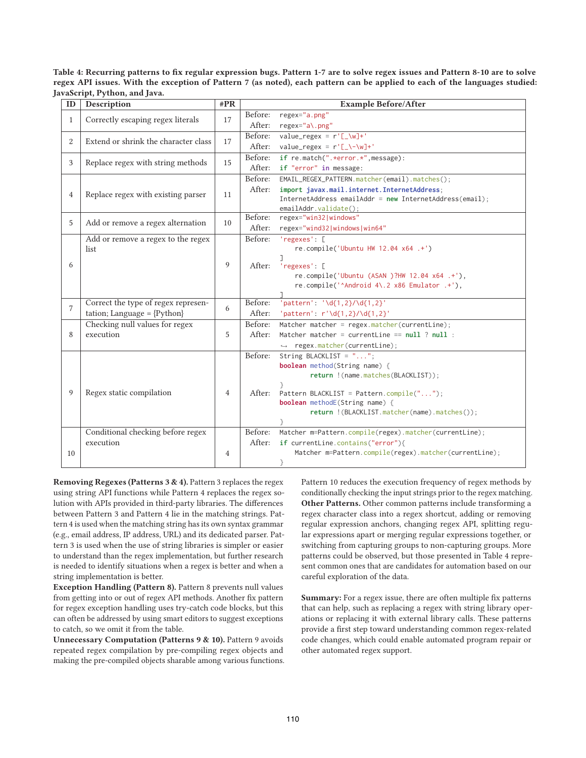**Table 4: Recurring patterns to fix regular expression bugs. Pattern 1-7 are to solve regex issues and Pattern 8-10 are to solve regex API issues. With the exception of Pattern 7 (as noted), each pattern can be applied to each of the languages studied: JavaScript, Python, and Java.**

| ID                                                     | Description                            | #PR | <b>Example Before/After</b> |                                                                |
|--------------------------------------------------------|----------------------------------------|-----|-----------------------------|----------------------------------------------------------------|
| Correctly escaping regex literals<br>1                 |                                        | 17  | Before:                     | regex="a.png"                                                  |
|                                                        |                                        |     | After:                      | regex="a\.png"                                                 |
| Extend or shrink the character class<br>$\overline{2}$ |                                        | 17  | Before:                     | value_regex = $r'[\_\w{w}]+'$                                  |
|                                                        |                                        |     | After:                      | value_regex = $r'[\lfloor \cdot \cdot \cdot \cdot \rfloor]$ +' |
|                                                        | 3<br>Replace regex with string methods |     | Before:                     | if re.match(".*error.*",message):                              |
|                                                        |                                        |     | After:                      | if "error" in message:                                         |
|                                                        |                                        |     | Before:                     | EMAIL_REGEX_PATTERN.matcher(email).matches();                  |
| 4                                                      | Replace regex with existing parser     | 11  | After:                      | import javax.mail.internet.InternetAddress;                    |
|                                                        |                                        |     |                             | InternetAddress emailAddr = new InternetAddress(email);        |
|                                                        |                                        |     | Before:                     | emailAddr.validate();<br>regex="win32 windows"                 |
| 5                                                      | Add or remove a regex alternation      | 10  | After:                      | regex="wind32 windows win64"                                   |
|                                                        | Add or remove a regex to the regex     |     | Before:                     | 'regexes': [                                                   |
|                                                        | list                                   |     |                             | re.compile('Ubuntu HW 12.04 x64 .+')                           |
|                                                        |                                        | 9   |                             |                                                                |
| 6                                                      |                                        |     | After:                      | 'regexes': [                                                   |
|                                                        |                                        |     |                             | re.compile('Ubuntu (ASAN )?HW 12.04 x64 .+'),                  |
|                                                        |                                        |     |                             | re.compile('^Android 4\.2 x86 Emulator .+'),                   |
|                                                        | Correct the type of regex represen-    |     | Before:                     | 'pattern': '\d{1,2}/\d{1,2}'                                   |
| $\overline{7}$                                         | tation; Language = $\{Python\}$        | 6   | After:                      | 'pattern': $r'\ddot{\{1,2\}}/\ddot{\{1,2\}}'$                  |
|                                                        | Checking null values for regex         |     | Before:                     | Matcher matcher = $regex.matcher(currentLine);$                |
| 8                                                      | execution                              | 5   | After:                      | Matcher matcher = currentLine == $null ? null :$               |
|                                                        |                                        |     |                             | $\rightarrow$ regex.matcher(currentLine);                      |
|                                                        |                                        |     | Before:                     | String BLACKLIST = $"$ ";                                      |
|                                                        |                                        |     |                             | <b>boolean</b> method(String name) {                           |
|                                                        |                                        |     |                             | return ! (name.matches(BLACKLIST));                            |
|                                                        |                                        |     |                             |                                                                |
| 9                                                      | Regex static compilation               | 4   | After:                      | Pattern BLACKLIST = Pattern.compile("");                       |
|                                                        |                                        |     |                             | <b>boolean</b> methodE(String name) {                          |
|                                                        |                                        |     |                             | return ! (BLACKLIST.matcher(name).matches());                  |
|                                                        | Conditional checking before regex      |     | Before:                     | Matcher m=Pattern.compile(regex).matcher(currentLine);         |
|                                                        | execution                              |     | After:                      | if currentLine.contains("error"){                              |
| 10                                                     |                                        | 4   |                             | Matcher m=Pattern.compile(regex).matcher(currentLine);         |
|                                                        |                                        |     |                             | }                                                              |

**Removing Regexes (Patterns 3 & 4).** Pattern 3 replaces the regex using string API functions while Pattern 4 replaces the regex solution with APIs provided in third-party libraries. The differences between Pattern 3 and Pattern 4 lie in the matching strings. Pattern 4 is used when the matching string has its own syntax grammar (e.g., email address, IP address, URL) and its dedicated parser. Pattern 3 is used when the use of string libraries is simpler or easier to understand than the regex implementation, but further research is needed to identify situations when a regex is better and when a string implementation is better.

**Exception Handling (Pattern 8).** Pattern 8 prevents null values from getting into or out of regex API methods. Another fix pattern for regex exception handling uses try-catch code blocks, but this can often be addressed by using smart editors to suggest exceptions to catch, so we omit it from the table.

**Unnecessary Computation (Patterns 9 & 10).** Pattern 9 avoids repeated regex compilation by pre-compiling regex objects and making the pre-compiled objects sharable among various functions. Pattern 10 reduces the execution frequency of regex methods by conditionally checking the input strings prior to the regex matching. **Other Patterns.** Other common patterns include transforming a regex character class into a regex shortcut, adding or removing regular expression anchors, changing regex API, splitting regular expressions apart or merging regular expressions together, or switching from capturing groups to non-capturing groups. More patterns could be observed, but those presented in Table 4 represent common ones that are candidates for automation based on our careful exploration of the data.

**Summary:** For a regex issue, there are often multiple fix patterns that can help, such as replacing a regex with string library operations or replacing it with external library calls. These patterns provide a first step toward understanding common regex-related code changes, which could enable automated program repair or other automated regex support.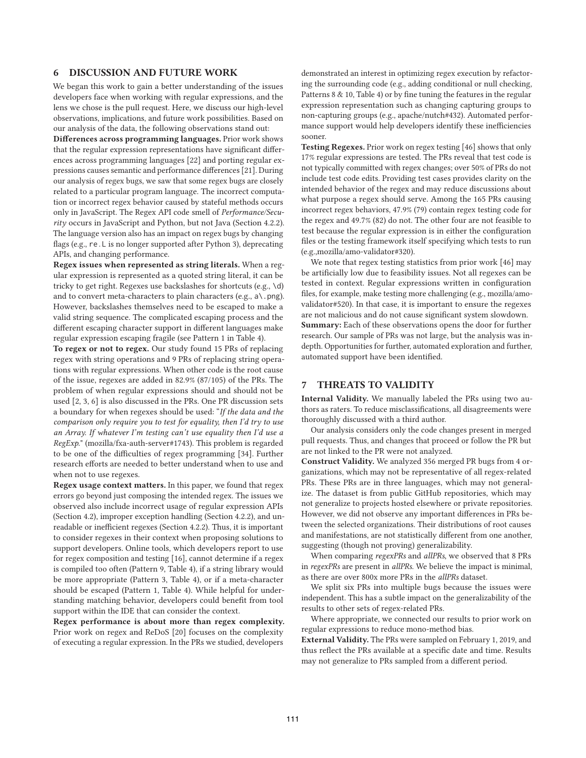## **6 DISCUSSION AND FUTURE WORK**

We began this work to gain a better understanding of the issues developers face when working with regular expressions, and the lens we chose is the pull request. Here, we discuss our high-level observations, implications, and future work possibilities. Based on our analysis of the data, the following observations stand out:

**Differences across programming languages.** Prior work shows that the regular expression representations have significant differences across programming languages [22] and porting regular expressions causes semantic and performance differences [21]. During our analysis of regex bugs, we saw that some regex bugs are closely related to a particular program language. The incorrect computation or incorrect regex behavior caused by stateful methods occurs only in JavaScript. The Regex API code smell of *Performance/Security* occurs in JavaScript and Python, but not Java (Section 4.2.2). The language version also has an impact on regex bugs by changing flags (e.g., re.L is no longer supported after Python 3), deprecating APIs, and changing performance.

**Regex issues when represented as string literals.** When a regular expression is represented as a quoted string literal, it can be tricky to get right. Regexes use backslashes for shortcuts (e.g., \d) and to convert meta-characters to plain characters (e.g.,  $a \setminus p$ ng). However, backslashes themselves need to be escaped to make a valid string sequence. The complicated escaping process and the different escaping character support in different languages make regular expression escaping fragile (see Pattern 1 in Table 4).

**To regex or not to regex.** Our study found 15 PRs of replacing regex with string operations and 9 PRs of replacing string operations with regular expressions. When other code is the root cause of the issue, regexes are added in 82.9% (87/105) of the PRs. The problem of when regular expressions should and should not be used [2, 3, 6] is also discussed in the PRs. One PR discussion sets a boundary for when regexes should be used: "*If the data and the comparison only require you to test for equality, then I'd try to use an Array. If whatever I'm testing can't use equality then I'd use a RegExp.*" (mozilla/fxa-auth-server#1743). This problem is regarded to be one of the difficulties of regex programming [34]. Further research efforts are needed to better understand when to use and when not to use regexes.

**Regex usage context matters.** In this paper, we found that regex errors go beyond just composing the intended regex. The issues we observed also include incorrect usage of regular expression APIs (Section 4.2), improper exception handling (Section 4.2.2), and unreadable or inefficient regexes (Section 4.2.2). Thus, it is important to consider regexes in their context when proposing solutions to support developers. Online tools, which developers report to use for regex composition and testing [16], cannot determine if a regex is compiled too often (Pattern 9, Table 4), if a string library would be more appropriate (Pattern 3, Table 4), or if a meta-character should be escaped (Pattern 1, Table 4). While helpful for understanding matching behavior, developers could benefit from tool support within the IDE that can consider the context.

**Regex performance is about more than regex complexity.** Prior work on regex and ReDoS [20] focuses on the complexity of executing a regular expression. In the PRs we studied, developers

demonstrated an interest in optimizing regex execution by refactoring the surrounding code (e.g., adding conditional or null checking, Patterns 8 & 10, Table 4) or by fine tuning the features in the regular expression representation such as changing capturing groups to non-capturing groups (e.g., apache/nutch#432). Automated performance support would help developers identify these inefficiencies sooner.

**Testing Regexes.** Prior work on regex testing [46] shows that only 17% regular expressions are tested. The PRs reveal that test code is not typically committed with regex changes; over 50% of PRs do not include test code edits. Providing test cases provides clarity on the intended behavior of the regex and may reduce discussions about what purpose a regex should serve. Among the 165 PRs causing incorrect regex behaviors, 47.9% (79) contain regex testing code for the regex and 49.7% (82) do not. The other four are not feasible to test because the regular expression is in either the configuration files or the testing framework itself specifying which tests to run (e.g.,mozilla/amo-validator#320).

We note that regex testing statistics from prior work [46] may be artificially low due to feasibility issues. Not all regexes can be tested in context. Regular expressions written in configuration files, for example, make testing more challenging (e.g., mozilla/amovalidator#520). In that case, it is important to ensure the regexes are not malicious and do not cause significant system slowdown. **Summary:** Each of these observations opens the door for further research. Our sample of PRs was not large, but the analysis was indepth. Opportunities for further, automated exploration and further, automated support have been identified.

## **7 THREATS TO VALIDITY**

**Internal Validity.** We manually labeled the PRs using two authors as raters. To reduce misclassifications, all disagreements were thoroughly discussed with a third author.

Our analysis considers only the code changes present in merged pull requests. Thus, and changes that proceed or follow the PR but are not linked to the PR were not analyzed.

**Construct Validity.** We analyzed 356 merged PR bugs from 4 organizations, which may not be representative of all regex-related PRs. These PRs are in three languages, which may not generalize. The dataset is from public GitHub repositories, which may not generalize to projects hosted elsewhere or private repositories. However, we did not observe any important differences in PRs between the selected organizations. Their distributions of root causes and manifestations, are not statistically different from one another, suggesting (though not proving) generalizability.

When comparing *regexPRs* and *allPRs*, we observed that 8 PRs in *regexPRs* are present in *allPRs*. We believe the impact is minimal, as there are over 800x more PRs in the *allPRs* dataset.

We split six PRs into multiple bugs because the issues were independent. This has a subtle impact on the generalizability of the results to other sets of regex-related PRs.

Where appropriate, we connected our results to prior work on regular expressions to reduce mono-method bias.

**External Validity.** The PRs were sampled on February 1, 2019, and thus reflect the PRs available at a specific date and time. Results may not generalize to PRs sampled from a different period.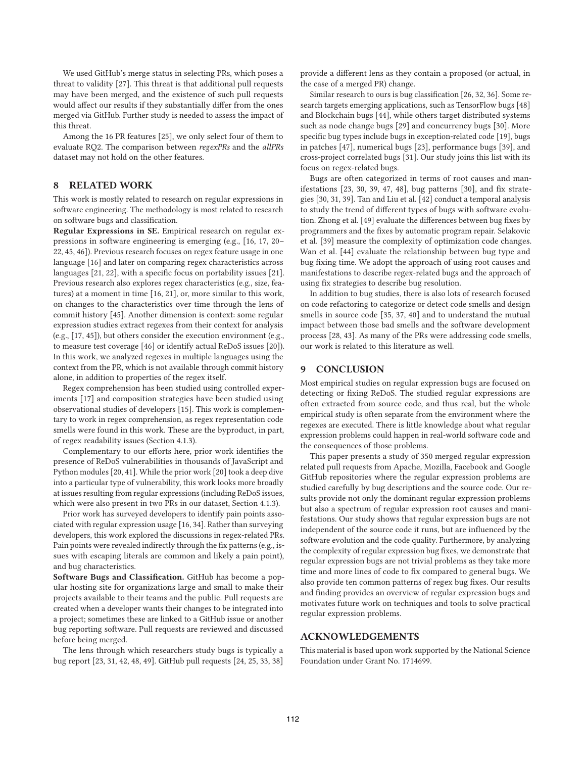We used GitHub's merge status in selecting PRs, which poses a threat to validity [27]. This threat is that additional pull requests may have been merged, and the existence of such pull requests would affect our results if they substantially differ from the ones merged via GitHub. Further study is needed to assess the impact of this threat.

Among the 16 PR features [25], we only select four of them to evaluate RQ2. The comparison between *regexPRs* and the *allPRs* dataset may not hold on the other features.

## **8 RELATED WORK**

This work is mostly related to research on regular expressions in software engineering. The methodology is most related to research on software bugs and classification.

**Regular Expressions in SE.** Empirical research on regular expressions in software engineering is emerging (e.g., [16, 17, 20– 22, 45, 46]). Previous research focuses on regex feature usage in one language [16] and later on comparing regex characteristics across languages [21, 22], with a specific focus on portability issues [21]. Previous research also explores regex characteristics (e.g., size, features) at a moment in time [16, 21], or, more similar to this work, on changes to the characteristics over time through the lens of commit history [45]. Another dimension is context: some regular expression studies extract regexes from their context for analysis (e.g., [17, 45]), but others consider the execution environment (e.g., to measure test coverage [46] or identify actual ReDoS issues [20]). In this work, we analyzed regexes in multiple languages using the context from the PR, which is not available through commit history alone, in addition to properties of the regex itself.

Regex comprehension has been studied using controlled experiments [17] and composition strategies have been studied using observational studies of developers [15]. This work is complementary to work in regex comprehension, as regex representation code smells were found in this work. These are the byproduct, in part, of regex readability issues (Section 4.1.3).

Complementary to our efforts here, prior work identifies the presence of ReDoS vulnerabilities in thousands of JavaScript and Python modules [20, 41]. While the prior work [20] took a deep dive into a particular type of vulnerability, this work looks more broadly at issues resulting from regular expressions (including ReDoS issues, which were also present in two PRs in our dataset, Section 4.1.3).

Prior work has surveyed developers to identify pain points associated with regular expression usage [16, 34]. Rather than surveying developers, this work explored the discussions in regex-related PRs. Pain points were revealed indirectly through the fix patterns (e.g., issues with escaping literals are common and likely a pain point), and bug characteristics.

**Software Bugs and Classification.** GitHub has become a popular hosting site for organizations large and small to make their projects available to their teams and the public. Pull requests are created when a developer wants their changes to be integrated into a project; sometimes these are linked to a GitHub issue or another bug reporting software. Pull requests are reviewed and discussed before being merged.

The lens through which researchers study bugs is typically a bug report [23, 31, 42, 48, 49]. GitHub pull requests [24, 25, 33, 38] provide a different lens as they contain a proposed (or actual, in the case of a merged PR) change.

Similar research to ours is bug classification [26, 32, 36]. Some research targets emerging applications, such as TensorFlow bugs [48] and Blockchain bugs [44], while others target distributed systems such as node change bugs [29] and concurrency bugs [30]. More specific bug types include bugs in exception-related code [19], bugs in patches [47], numerical bugs [23], performance bugs [39], and cross-project correlated bugs [31]. Our study joins this list with its focus on regex-related bugs.

Bugs are often categorized in terms of root causes and manifestations [23, 30, 39, 47, 48], bug patterns [30], and fix strategies [30, 31, 39]. Tan and Liu et al. [42] conduct a temporal analysis to study the trend of different types of bugs with software evolution. Zhong et al. [49] evaluate the differences between bug fixes by programmers and the fixes by automatic program repair. Selakovic et al. [39] measure the complexity of optimization code changes. Wan et al. [44] evaluate the relationship between bug type and bug fixing time. We adopt the approach of using root causes and manifestations to describe regex-related bugs and the approach of using fix strategies to describe bug resolution.

In addition to bug studies, there is also lots of research focused on code refactoring to categorize or detect code smells and design smells in source code [35, 37, 40] and to understand the mutual impact between those bad smells and the software development process [28, 43]. As many of the PRs were addressing code smells, our work is related to this literature as well.

#### **9 CONCLUSION**

Most empirical studies on regular expression bugs are focused on detecting or fixing ReDoS. The studied regular expressions are often extracted from source code, and thus real, but the whole empirical study is often separate from the environment where the regexes are executed. There is little knowledge about what regular expression problems could happen in real-world software code and the consequences of those problems.

This paper presents a study of 350 merged regular expression related pull requests from Apache, Mozilla, Facebook and Google GitHub repositories where the regular expression problems are studied carefully by bug descriptions and the source code. Our results provide not only the dominant regular expression problems but also a spectrum of regular expression root causes and manifestations. Our study shows that regular expression bugs are not independent of the source code it runs, but are influenced by the software evolution and the code quality. Furthermore, by analyzing the complexity of regular expression bug fixes, we demonstrate that regular expression bugs are not trivial problems as they take more time and more lines of code to fix compared to general bugs. We also provide ten common patterns of regex bug fixes. Our results and finding provides an overview of regular expression bugs and motivates future work on techniques and tools to solve practical regular expression problems.

#### **ACKNOWLEDGEMENTS**

This material is based upon work supported by the National Science Foundation under Grant No. 1714699.